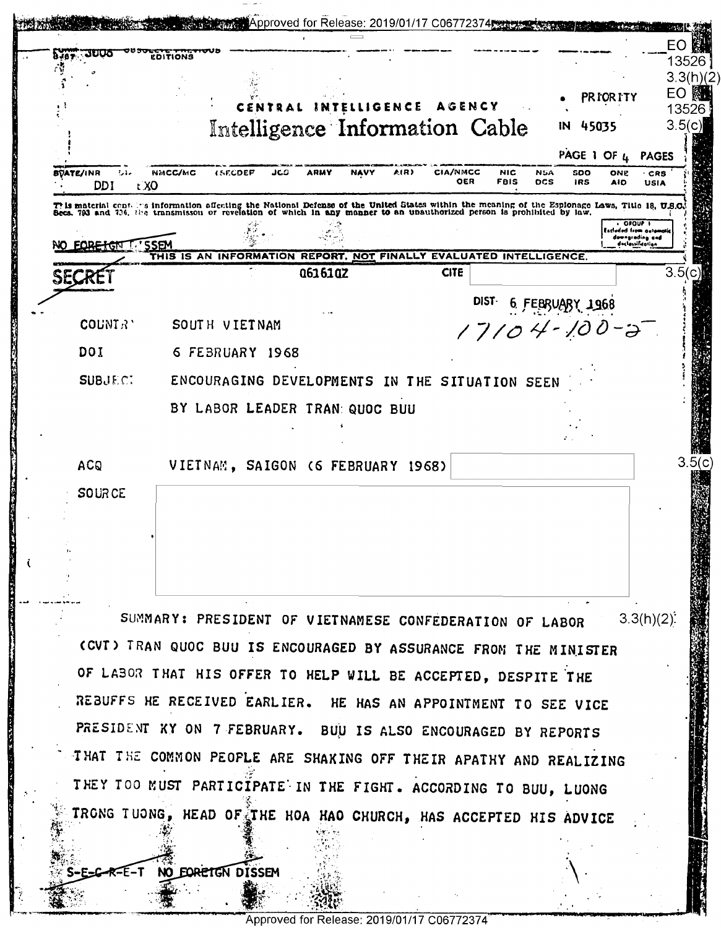|                                        |                                                                                                                                                                                                                                 |                                                                                                            | EO               |
|----------------------------------------|---------------------------------------------------------------------------------------------------------------------------------------------------------------------------------------------------------------------------------|------------------------------------------------------------------------------------------------------------|------------------|
| BJB7                                   | <b>EDITIONS</b>                                                                                                                                                                                                                 |                                                                                                            | 13526            |
|                                        |                                                                                                                                                                                                                                 |                                                                                                            | 3.3(h)(2)<br>EO  |
|                                        | AGENCY<br>INTELLIGENCE                                                                                                                                                                                                          | <b>PRIORITY</b>                                                                                            | 13526            |
|                                        | Intelligence Information Cable<br>IN                                                                                                                                                                                            | 45035                                                                                                      | 3.5(c)           |
|                                        |                                                                                                                                                                                                                                 | PAGE 1 OF $\mu$ PAGES                                                                                      |                  |
| <b>BVATE/INR</b><br><b>DDI</b><br>t XO | <b>CIA/NMCC</b><br>NMCC/MC<br><b><i>ISECDEP</i></b><br>JCO<br><b>ARMY</b><br>NAVY<br>AIR)<br><b>NIC</b><br><b>NSA</b><br>OER<br><b>FBIS</b><br><b>DCS</b>                                                                       | soo<br>ONE<br>· CRS<br><b>IRS</b><br><b>AID</b><br><b>USIA</b>                                             |                  |
|                                        | This material contains information affecting the National Defense of the United States within the meaning of the Espionage Laws, Title 18, U.S.C.<br>Secs. 793 and 736, the transmisson or revelation of which in any manner to |                                                                                                            |                  |
|                                        |                                                                                                                                                                                                                                 | $\overline{\phantom{a}}$ or our $\overline{\phantom{a}}$<br><b>Estimand from automa</b><br>deengrading and |                  |
| <b>FORETON</b>                         | <b>SSEM</b><br>THIS IS AN INFORMATION REPORT, NOT FINALLY EVALUATED INTELLIGENCE.                                                                                                                                               | doclossificoilen                                                                                           |                  |
| SECRE                                  | <b>CITE</b><br>Q6161QZ                                                                                                                                                                                                          |                                                                                                            | 3.5 <sub>1</sub> |
|                                        | DIST-                                                                                                                                                                                                                           |                                                                                                            |                  |
|                                        | $6$ FEBRUARY 1968                                                                                                                                                                                                               |                                                                                                            |                  |
| COUNTR'                                | SOUTH VIETNAM<br>$17104 - 100 - 3$                                                                                                                                                                                              |                                                                                                            |                  |
| DOI                                    | 6 FEBRUARY 1968                                                                                                                                                                                                                 |                                                                                                            |                  |
| <b>SUBJECT</b>                         | ENCOURAGING DEVELOPMENTS IN THE SITUATION SEEN                                                                                                                                                                                  |                                                                                                            |                  |
|                                        |                                                                                                                                                                                                                                 |                                                                                                            |                  |
|                                        | BY LABOR LEADER TRAN: QUOC BUU                                                                                                                                                                                                  |                                                                                                            |                  |
|                                        |                                                                                                                                                                                                                                 |                                                                                                            |                  |
| <b>ACQ</b>                             | VIETNAM, SAIGON (6 FEBRUARY 1968)                                                                                                                                                                                               |                                                                                                            | 3.5(c)           |
|                                        |                                                                                                                                                                                                                                 |                                                                                                            |                  |
| <b>SOURCE</b>                          |                                                                                                                                                                                                                                 |                                                                                                            |                  |
|                                        |                                                                                                                                                                                                                                 |                                                                                                            |                  |
|                                        |                                                                                                                                                                                                                                 |                                                                                                            |                  |
|                                        |                                                                                                                                                                                                                                 |                                                                                                            |                  |
|                                        |                                                                                                                                                                                                                                 |                                                                                                            |                  |
|                                        |                                                                                                                                                                                                                                 |                                                                                                            |                  |
|                                        | SUMMARY: PRESIDENT OF VIETNAMESE CONFEDERATION OF LABOR                                                                                                                                                                         | 3.3(h)(2)                                                                                                  |                  |
|                                        | (CVI) TRAN QUOC BUU IS ENCOURAGED BY ASSURANCE FROM THE MINISTER                                                                                                                                                                |                                                                                                            |                  |
|                                        |                                                                                                                                                                                                                                 |                                                                                                            |                  |
|                                        | OF LABOR THAT HIS OFFER TO HELP WILL BE ACCEPTED, DESPITE THE                                                                                                                                                                   |                                                                                                            |                  |
|                                        | REBUFFS HE RECEIVED EARLIER. HE HAS AN APPOINTMENT TO SEE VICE                                                                                                                                                                  |                                                                                                            |                  |
|                                        | PRESIDENT XY ON 7 FEBRUARY. BULL IS ALSO ENCOURAGED BY REPORTS                                                                                                                                                                  |                                                                                                            |                  |
|                                        | THAT THE COMMON PEOPLE ARE SHAKING OFF THEIR APATHY AND REALIZING                                                                                                                                                               |                                                                                                            |                  |
|                                        | THEY TOO MUST PARTICIPATE IN THE FIGHT. ACCORDING TO BUU, LUONG                                                                                                                                                                 |                                                                                                            |                  |
|                                        |                                                                                                                                                                                                                                 |                                                                                                            |                  |
|                                        |                                                                                                                                                                                                                                 |                                                                                                            |                  |
|                                        | TRONG TUONG, HEAD OF THE HOA HAO CHURCH, HAS ACCEPTED HIS ADVICE                                                                                                                                                                |                                                                                                            |                  |
|                                        | NO EQRETGN DISSEM                                                                                                                                                                                                               |                                                                                                            |                  |

 $-1$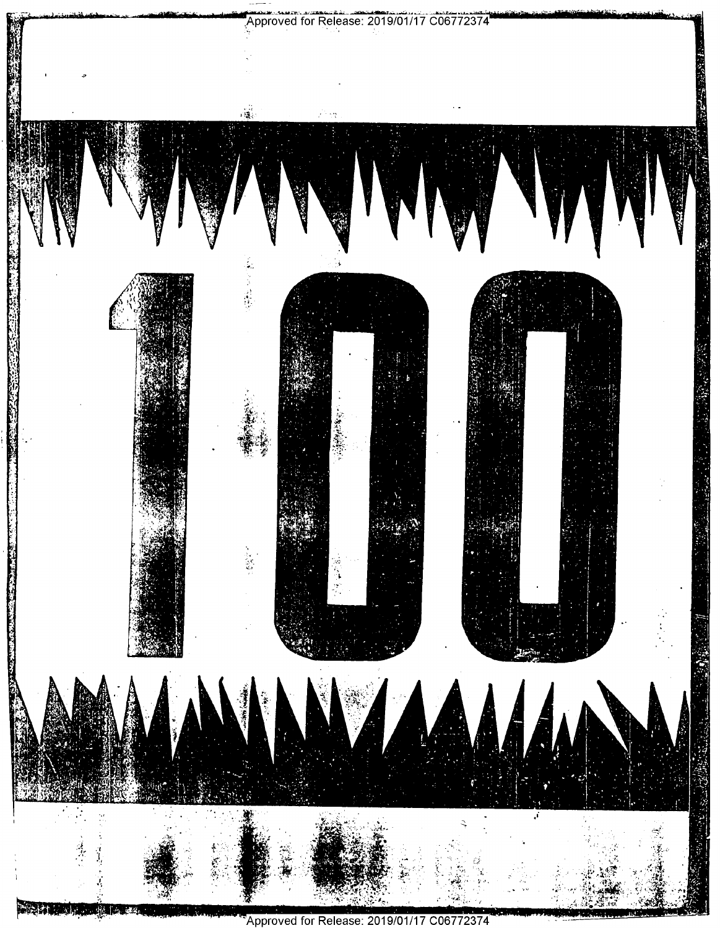

Approved for Release: 2019/01/17 C06772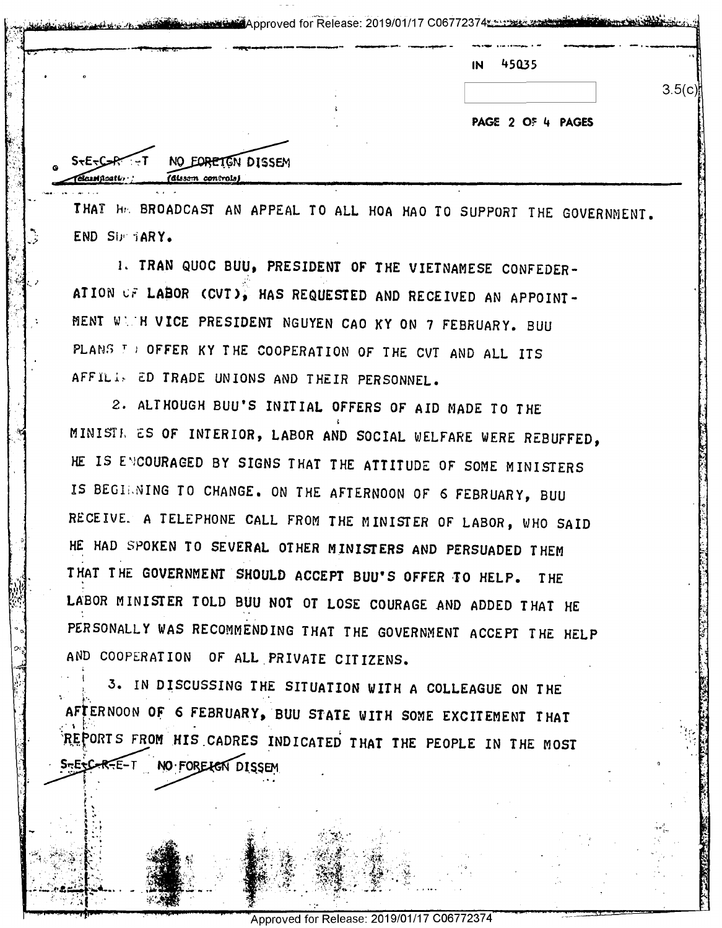| 45035<br>IN       |
|-------------------|
| 3.5(c)            |
|                   |
| PAGE 2 OF 4 PAGES |
|                   |
|                   |
|                   |

THAT HE BROADCAST AN APPEAL TO ALL HOA HAO TO SUPPORT THE GOVERNMENT. END SUP TARY.

1. TRAN QUOC BUU, PRESIDENT OF THE VIETNAMESE CONFEDER-ATION OF LABOR (CVT), HAS REQUESTED AND RECEIVED AN APPOINT-MENT WITH VICE PRESIDENT NGUYEN CAO KY ON 7 FEBRUARY. BUU PLANS TO OFFER KY THE COOPERATION OF THE CVT AND ALL ITS AFFILIS ED TRADE UNIONS AND THEIR PERSONNEL.

2. ALTHOUGH BUU'S INITIAL OFFERS OF AID MADE TO THE MINISTE ES OF INTERIOR, LABOR AND SOCIAL WELFARE WERE REBUFFED, HE IS ENCOURAGED BY SIGNS THAT THE ATTITUDE OF SOME MINISTERS IS BEGINING TO CHANGE. ON THE AFTERNOON OF 6 FEBRUARY, BUU RECEIVE. A TELEPHONE CALL FROM THE MINISTER OF LABOR, WHO SAID HE HAD SPOKEN TO SEVERAL OTHER MINISTERS AND PERSUADED THEM THAT THE GOVERNMENT SHOULD ACCEPT BUU'S OFFER TO HELP. T HF LABOR MINISTER TOLD BUU NOT OT LOSE COURAGE AND ADDED THAT HE PERSONALLY WAS RECOMMENDING THAT THE GOVERNMENT ACCEPT THE HELP AND COOPERATION OF ALL PRIVATE CITIZENS.

3. IN DISCUSSING THE SITUATION WITH A COLLEAGUE ON THE AFTERNOON OF 6 FEBRUARY, BUU STATE WITH SOME EXCITEMENT THAT REPORTS FROM HIS CADRES INDICATED THAT THE PEOPLE IN THE MOST  $S<sub>5</sub>E<sub>5</sub>C<sub>5</sub>R<sub>5</sub>E-T$ NO FORE LET DISSEM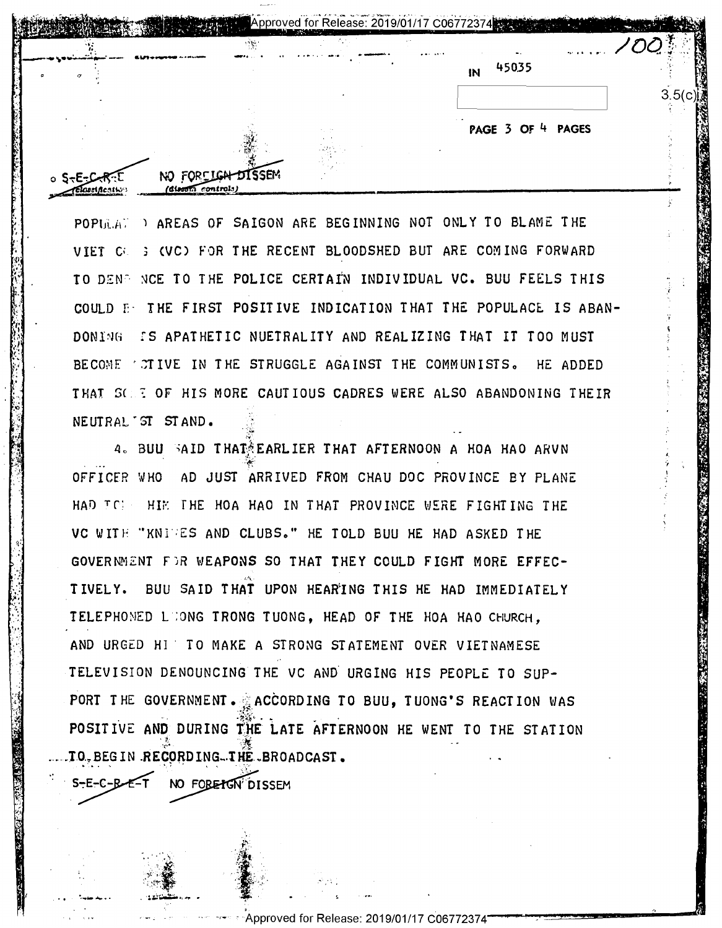| $\sim 10$ | $\Delta \sim 0$ | <b>PAY 4:10</b>                    |  |
|-----------|-----------------|------------------------------------|--|
|           |                 | 45035<br>IN                        |  |
|           |                 |                                    |  |
|           |                 | $\sim$ $\sim$<br>PAGE 3 OF 4 PAGES |  |

POPINATED AREAS OF SAIGON ARE BEGINNING NOT ONLY TO BLAME THE VIET CO. : (VC) FOR THE RECENT BLOODSHED BUT ARE COMING FORWARD TO DENP NCE TO THE POLICE CERTAIN INDIVIDUAL VC. BUU FEELS THIS COULD E: THE FIRST POSITIVE INDICATION THAT THE POPULACE IS ABAN-DONING IS APATHETIC NUETRALITY AND REALIZING THAT IT TOO MUST BECOME TO TIVE IN THE STRUGGLE AGAINST THE COMMUNISTS. HE ADDED THAT SCEE OF HIS MORE CAUTIOUS CADRES WERE ALSO ABANDONING THEIR NEUTRAL ST STAND.

4. BUU SAID THAT EARLIER THAT AFTERNOON A HOA HAO ARVN OFFICER WHO AD JUST ARRIVED FROM CHAU DOC PROVINCE BY PLANE HAD TO HIE THE HOA HAO IN THAT PROVINCE WERE FIGHTING THE VC WITH "KNIVES AND CLUBS." HE TOLD BUU HE HAD ASKED THE GOVERNMENT FOR WEAPONS SO THAT THEY COULD FIGHT MORE EFFEC-TIVELY. BUU SAID THAT UPON HEARING THIS HE HAD IMMEDIATELY TELEPHONED LOONG TRONG TUONG, HEAD OF THE HOA HAO CHURCH. AND URGED HI TO MAKE A STRONG STATEMENT OVER VIETNAMESE TELEVISION DENOUNCING THE VC AND URGING HIS PEOPLE TO SUP-PORT THE GOVERNMENT. ACCORDING TO BUU, TUONG'S REACTION WAS POSITIVE AND DURING THE LATE AFTERNOON HE WENT TO THE STATION TO.BEGIN RECORDING.THE BROADCAST.

 $S - E - C - B - E - T$ NO FOREIGN DISSEM

 $181$ 

Lastification